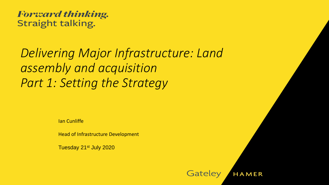**Forward thinking.** Straight talking.

## *Delivering Major Infrastructure: Land assembly and acquisition Part 1: Setting the Strategy*

Ian Cunliffe

Head of Infrastructure Development

Tuesday 21st July 2020

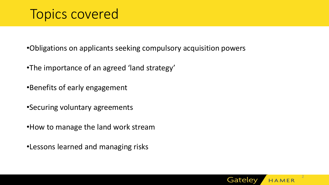### Topics covered

•Obligations on applicants seeking compulsory acquisition powers

- •The importance of an agreed 'land strategy'
- •Benefits of early engagement
- •Securing voluntary agreements
- •How to manage the land work stream
- •Lessons learned and managing risks

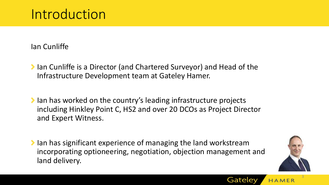## Introduction

Ian Cunliffe

- Ichtara Cunliffe is a Director (and Chartered Surveyor) and Head of the Infrastructure Development team at Gateley Hamer.
- Ichtara has worked on the country's leading infrastructure projects including Hinkley Point C, HS2 and over 20 DCOs as Project Director and Expert Witness.
- Ian has significant experience of managing the land workstream incorporating optioneering, negotiation, objection management and land delivery.



3

Gateley HAMER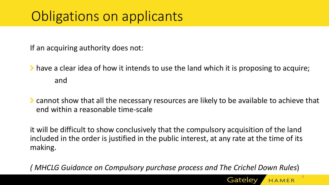If an acquiring authority does not:

- have a clear idea of how it intends to use the land which it is proposing to acquire; and
- cannot show that all the necessary resources are likely to be available to achieve that end within a reasonable time-scale

it will be difficult to show conclusively that the compulsory acquisition of the land included in the order is justified in the public interest, at any rate at the time of its making.

*( MHCLG Guidance on Compulsory purchase process and The Crichel Down Rules*)



4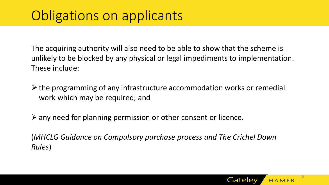The acquiring authority will also need to be able to show that the scheme is unlikely to be blocked by any physical or legal impediments to implementation. These include:

 $\triangleright$  the programming of any infrastructure accommodation works or remedial work which may be required; and

 $\triangleright$  any need for planning permission or other consent or licence.

(*MHCLG Guidance on Compulsory purchase process and The Crichel Down Rules*)

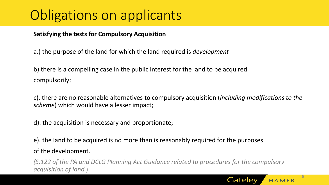### **Satisfying the tests for Compulsory Acquisition**

a.) the purpose of the land for which the land required is *development* 

b) there is a compelling case in the public interest for the land to be acquired compulsorily;

c). there are no reasonable alternatives to compulsory acquisition (*including modifications to the scheme*) which would have a lesser impact;

d). the acquisition is necessary and proportionate;

e). the land to be acquired is no more than is reasonably required for the purposes of the development.

*(S.122 of the PA and DCLG Planning Act Guidance related to procedures for the compulsory acquisition of land* )



6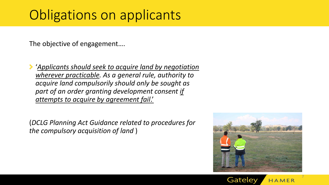The objective of engagement….

'*Applicants should seek to acquire land by negotiation wherever practicable. As a general rule, authority to acquire land compulsorily should only be sought as part of an order granting development consent if attempts to acquire by agreement fail*.'

(*DCLG Planning Act Guidance related to procedures for the compulsory acquisition of land* )



7

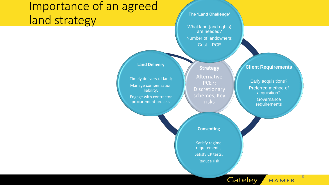### Importance of an agreed land strategy

**The 'Land Challenge'**

What land (and rights) are needed? Number of landowners; Cost – PCE

#### **Land Delivery**

Timely delivery of land; Manage compensation liability; Engage with contractor

procurement process

**Strategy** Alternative PCE?; Discretionary schemes; Key risks

#### **Client Requirements**

Early acquisitions? Preferred method of acquisition? **Governance** 

requirements

8

HAMER

Gateley

**Consenting**

Satisfy regime requirements; Satisfy CP tests; Reduce risk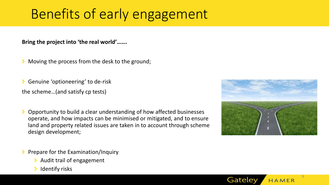# Benefits of early engagement

**Bring the project into 'the real world'…….**

Moving the process from the desk to the ground;

Genuine 'optioneering' to de-risk

the scheme…(and satisfy cp tests)

Opportunity to build a clear understanding of how affected businesses operate, and how impacts can be minimised or mitigated, and to ensure land and property related issues are taken in to account through scheme design development;



Gateley

9

- Prepare for the Examination/Inquiry
	- Audit trail of engagement
	- Identify risks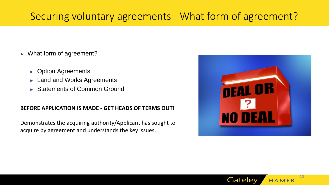### Securing voluntary agreements - What form of agreement?

- ► What form of agreement?
	- ► Option Agreements
	- ► Land and Works Agreements
	- ► Statements of Common Ground

#### **BEFORE APPLICATION IS MADE - GET HEADS OF TERMS OUT!**

Demonstrates the acquiring authority/Applicant has sought to acquire by agreement and understands the key issues.



Gateley

10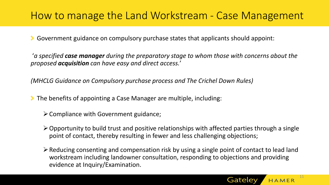### How to manage the Land Workstream - Case Management

Government guidance on compulsory purchase states that applicants should appoint:

'*a specified case manager during the preparatory stage to whom those with concerns about the proposed acquisition can have easy and direct access.*'

*(MHCLG Guidance on Compulsory purchase process and The Crichel Down Rules)*

The benefits of appointing a Case Manager are multiple, including:

- $\triangleright$  Compliance with Government guidance;
- $\triangleright$  Opportunity to build trust and positive relationships with affected parties through a single point of contact, thereby resulting in fewer and less challenging objections;
- ➢Reducing consenting and compensation risk by using a single point of contact to lead land workstream including landowner consultation, responding to objections and providing evidence at Inquiry/Examination.

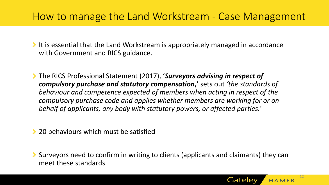### How to manage the Land Workstream - Case Management

It is essential that the Land Workstream is appropriately managed in accordance with Government and RICS guidance.

The RICS Professional Statement (2017), '*Surveyors advising in respect of compulsory purchase and statutory compensation***,**' sets out *'the standards of behaviour and competence expected of members when acting in respect of the compulsory purchase code and applies whether members are working for or on behalf of applicants, any body with statutory powers, or affected parties.'* 

**20 behaviours which must be satisfied** 

Surveyors need to confirm in writing to clients (applicants and claimants) they can meet these standards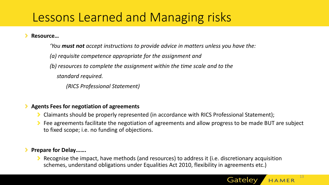### Lessons Learned and Managing risks

**Resource…**

*'You must not accept instructions to provide advice in matters unless you have the: (a) requisite competence appropriate for the assignment and (b) resources to complete the assignment within the time scale and to the standard required. (RICS Professional Statement)*

### **Agents Fees for negotiation of agreements**

- Claimants should be properly represented (in accordance with RICS Professional Statement);
- Fee agreements facilitate the negotiation of agreements and allow progress to be made BUT are subject to fixed scope; i.e. no funding of objections.

### **Prepare for Delay…….**

Recognise the impact, have methods (and resources) to address it (i.e. discretionary acquisition schemes, understand obligations under Equalities Act 2010, flexibility in agreements etc.)

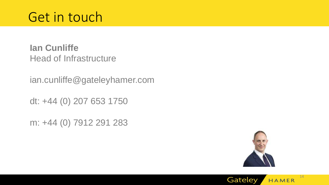**Ian Cunliffe** Head of Infrastructure

ian.cunliffe@gateleyhamer.com

dt: +44 (0) 207 653 1750

m: +44 (0) 7912 291 283



Gateley

14